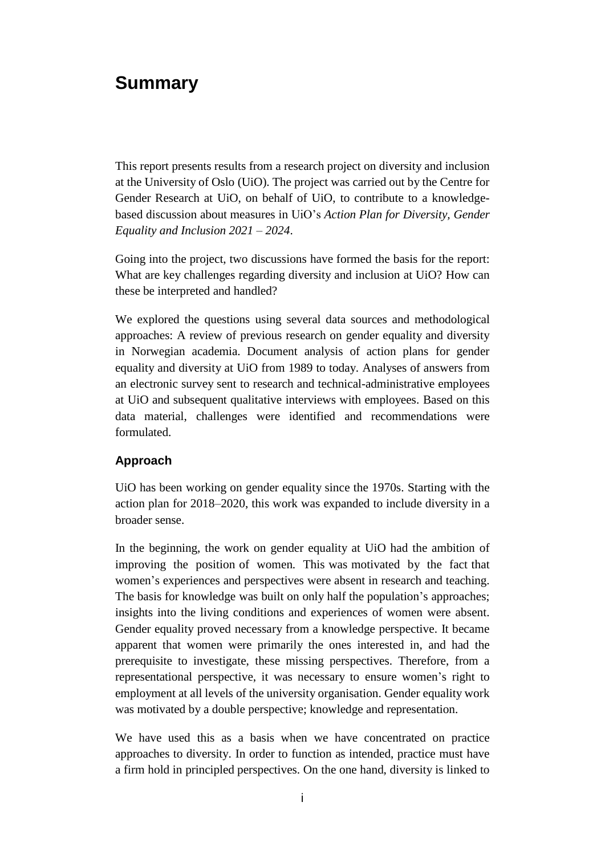# **Summary**

This report presents results from a research project on diversity and inclusion at the University of Oslo (UiO). The project was carried out by the Centre for Gender Research at UiO, on behalf of UiO, to contribute to a knowledgebased discussion about measures in UiO's *Action Plan for Diversity, Gender Equality and Inclusion 2021* – *2024*.

Going into the project, two discussions have formed the basis for the report: What are key challenges regarding diversity and inclusion at UiO? How can these be interpreted and handled?

We explored the questions using several data sources and methodological approaches: A review of previous research on gender equality and diversity in Norwegian academia. Document analysis of action plans for gender equality and diversity at UiO from 1989 to today. Analyses of answers from an electronic survey sent to research and technical-administrative employees at UiO and subsequent qualitative interviews with employees. Based on this data material, challenges were identified and recommendations were formulated.

### **Approach**

UiO has been working on gender equality since the 1970s. Starting with the action plan for 2018–2020, this work was expanded to include diversity in a broader sense.

In the beginning, the work on gender equality at UiO had the ambition of improving the position of women. This was motivated by the fact that women's experiences and perspectives were absent in research and teaching. The basis for knowledge was built on only half the population's approaches; insights into the living conditions and experiences of women were absent. Gender equality proved necessary from a knowledge perspective. It became apparent that women were primarily the ones interested in, and had the prerequisite to investigate, these missing perspectives. Therefore, from a representational perspective, it was necessary to ensure women's right to employment at all levels of the university organisation. Gender equality work was motivated by a double perspective; knowledge and representation.

We have used this as a basis when we have concentrated on practice approaches to diversity. In order to function as intended, practice must have a firm hold in principled perspectives. On the one hand, diversity is linked to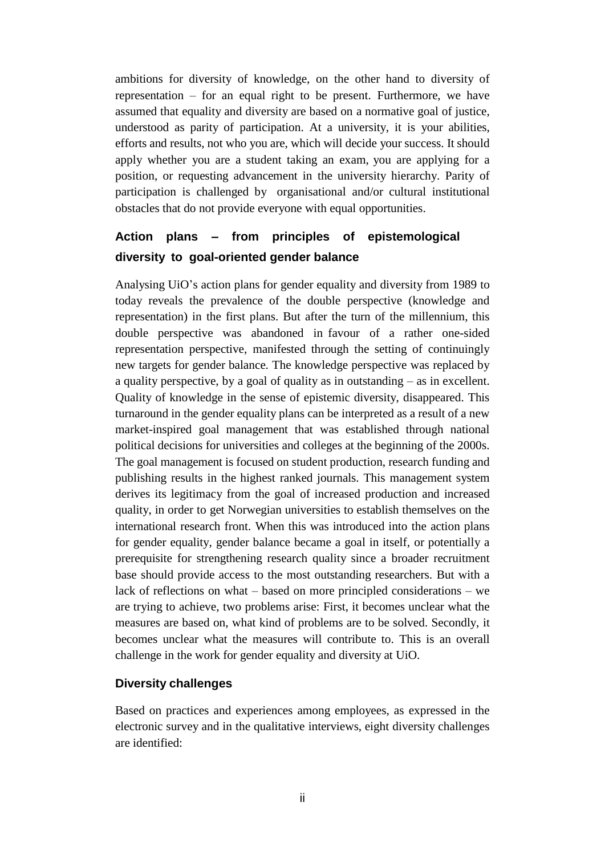ambitions for diversity of knowledge, on the other hand to diversity of representation – for an equal right to be present. Furthermore, we have assumed that equality and diversity are based on a normative goal of justice, understood as parity of participation. At a university, it is your abilities, efforts and results, not who you are, which will decide your success. It should apply whether you are a student taking an exam, you are applying for a position, or requesting advancement in the university hierarchy. Parity of participation is challenged by organisational and/or cultural institutional obstacles that do not provide everyone with equal opportunities.

## **Action plans – from principles of epistemological diversity to goal-oriented gender balance**

Analysing UiO's action plans for gender equality and diversity from 1989 to today reveals the prevalence of the double perspective (knowledge and representation) in the first plans. But after the turn of the millennium, this double perspective was abandoned in favour of a rather one-sided representation perspective, manifested through the setting of continuingly new targets for gender balance. The knowledge perspective was replaced by a quality perspective, by a goal of quality as in outstanding – as in excellent. Quality of knowledge in the sense of epistemic diversity, disappeared. This turnaround in the gender equality plans can be interpreted as a result of a new market-inspired goal management that was established through national political decisions for universities and colleges at the beginning of the 2000s. The goal management is focused on student production, research funding and publishing results in the highest ranked journals. This management system derives its legitimacy from the goal of increased production and increased quality, in order to get Norwegian universities to establish themselves on the international research front. When this was introduced into the action plans for gender equality, gender balance became a goal in itself, or potentially a prerequisite for strengthening research quality since a broader recruitment base should provide access to the most outstanding researchers. But with a lack of reflections on what – based on more principled considerations – we are trying to achieve, two problems arise: First, it becomes unclear what the measures are based on, what kind of problems are to be solved. Secondly, it becomes unclear what the measures will contribute to. This is an overall challenge in the work for gender equality and diversity at UiO.

### **Diversity challenges**

Based on practices and experiences among employees, as expressed in the electronic survey and in the qualitative interviews, eight diversity challenges are identified: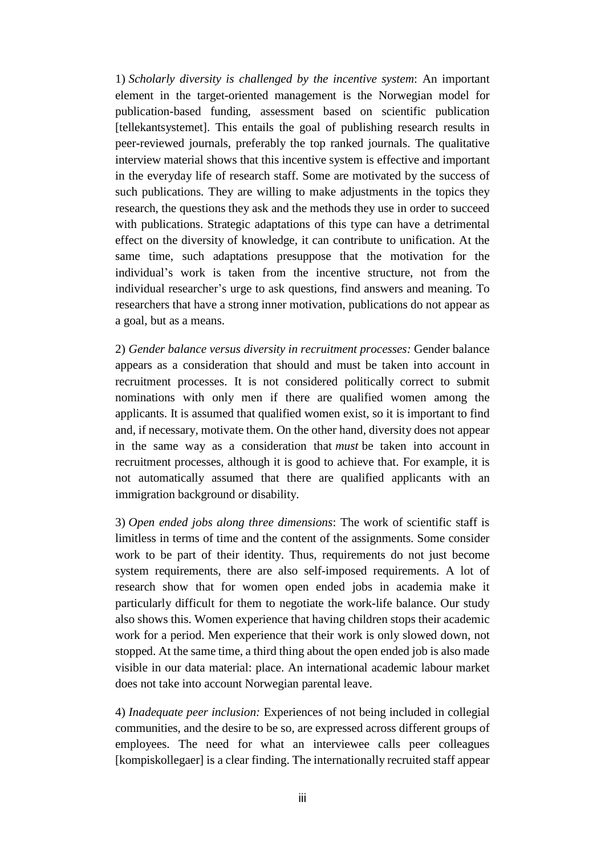1) *Scholarly diversity is challenged by the incentive system*: An important element in the target-oriented management is the Norwegian model for publication-based funding, assessment based on scientific publication [tellekantsystemet]. This entails the goal of publishing research results in peer-reviewed journals, preferably the top ranked journals. The qualitative interview material shows that this incentive system is effective and important in the everyday life of research staff. Some are motivated by the success of such publications. They are willing to make adjustments in the topics they research, the questions they ask and the methods they use in order to succeed with publications. Strategic adaptations of this type can have a detrimental effect on the diversity of knowledge, it can contribute to unification. At the same time, such adaptations presuppose that the motivation for the individual's work is taken from the incentive structure, not from the individual researcher's urge to ask questions, find answers and meaning. To researchers that have a strong inner motivation, publications do not appear as a goal, but as a means.

2) *Gender balance versus diversity in recruitment processes:* Gender balance appears as a consideration that should and must be taken into account in recruitment processes. It is not considered politically correct to submit nominations with only men if there are qualified women among the applicants. It is assumed that qualified women exist, so it is important to find and, if necessary, motivate them. On the other hand, diversity does not appear in the same way as a consideration that *must* be taken into account in recruitment processes, although it is good to achieve that. For example, it is not automatically assumed that there are qualified applicants with an immigration background or disability.

3) *Open ended jobs along three dimensions*: The work of scientific staff is limitless in terms of time and the content of the assignments. Some consider work to be part of their identity. Thus, requirements do not just become system requirements, there are also self-imposed requirements. A lot of research show that for women open ended jobs in academia make it particularly difficult for them to negotiate the work-life balance. Our study also shows this. Women experience that having children stops their academic work for a period. Men experience that their work is only slowed down, not stopped. At the same time, a third thing about the open ended job is also made visible in our data material: place. An international academic labour market does not take into account Norwegian parental leave.

4) *Inadequate peer inclusion:* Experiences of not being included in collegial communities, and the desire to be so, are expressed across different groups of employees. The need for what an interviewee calls peer colleagues [kompiskollegaer] is a clear finding. The internationally recruited staff appear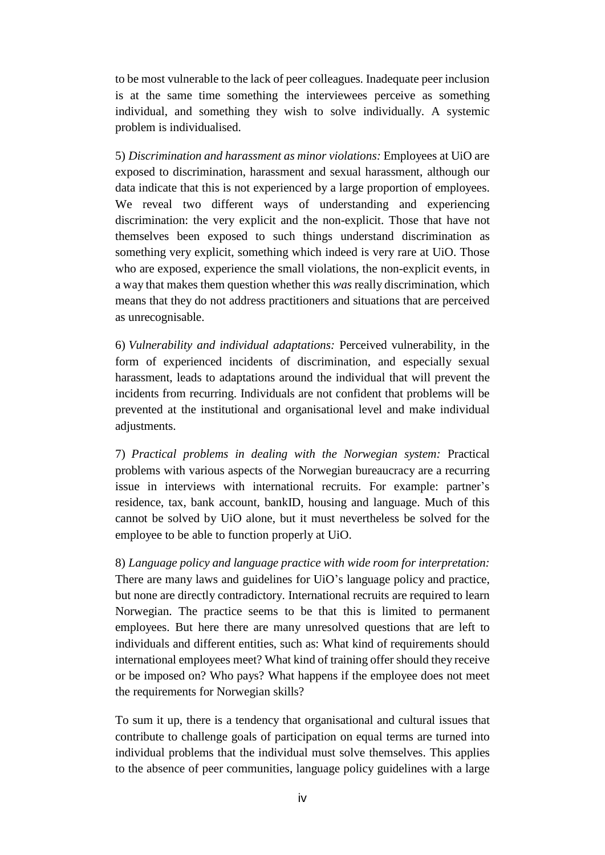to be most vulnerable to the lack of peer colleagues. Inadequate peer inclusion is at the same time something the interviewees perceive as something individual, and something they wish to solve individually. A systemic problem is individualised.

5) *Discrimination and harassment as minor violations:* Employees at UiO are exposed to discrimination, harassment and sexual harassment, although our data indicate that this is not experienced by a large proportion of employees. We reveal two different ways of understanding and experiencing discrimination: the very explicit and the non-explicit. Those that have not themselves been exposed to such things understand discrimination as something very explicit, something which indeed is very rare at UiO. Those who are exposed, experience the small violations, the non-explicit events, in a way that makes them question whether this *was* really discrimination, which means that they do not address practitioners and situations that are perceived as unrecognisable.

6) *Vulnerability and individual adaptations:* Perceived vulnerability, in the form of experienced incidents of discrimination, and especially sexual harassment, leads to adaptations around the individual that will prevent the incidents from recurring. Individuals are not confident that problems will be prevented at the institutional and organisational level and make individual adjustments.

7) *Practical problems in dealing with the Norwegian system:* Practical problems with various aspects of the Norwegian bureaucracy are a recurring issue in interviews with international recruits. For example: partner's residence, tax, bank account, bankID, housing and language. Much of this cannot be solved by UiO alone, but it must nevertheless be solved for the employee to be able to function properly at UiO.

8) *Language policy and language practice with wide room for interpretation:* There are many laws and guidelines for UiO's language policy and practice, but none are directly contradictory. International recruits are required to learn Norwegian. The practice seems to be that this is limited to permanent employees. But here there are many unresolved questions that are left to individuals and different entities, such as: What kind of requirements should international employees meet? What kind of training offer should they receive or be imposed on? Who pays? What happens if the employee does not meet the requirements for Norwegian skills?

To sum it up, there is a tendency that organisational and cultural issues that contribute to challenge goals of participation on equal terms are turned into individual problems that the individual must solve themselves. This applies to the absence of peer communities, language policy guidelines with a large